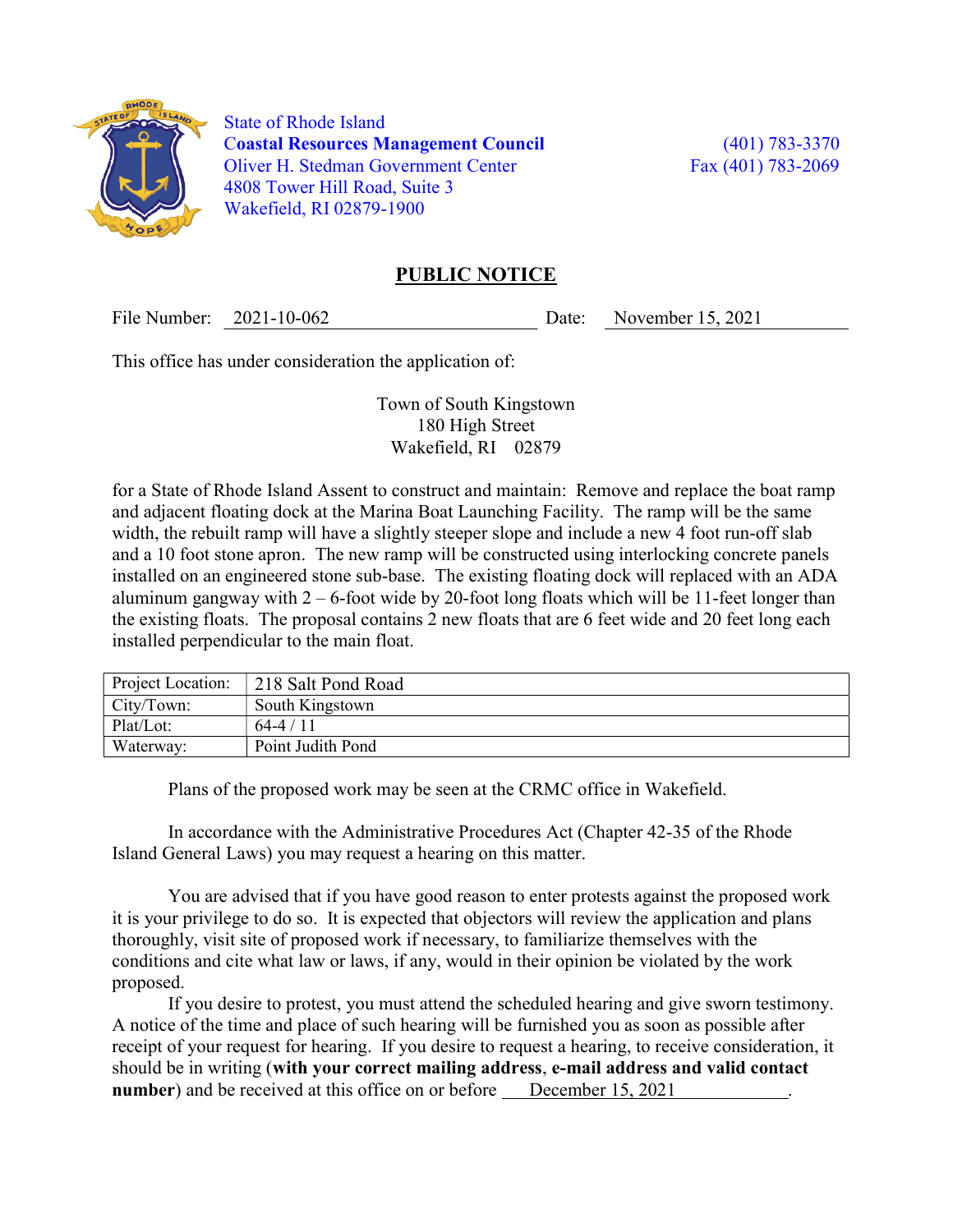

 State of Rhode Island Coastal Resources Management Council (401) 783-3370 Oliver H. Stedman Government Center Fax (401) 783-2069 4808 Tower Hill Road, Suite 3 Wakefield, RI 02879-1900

## PUBLIC NOTICE

File Number: 2021-10-062 Date: November 15, 2021

This office has under consideration the application of:

Town of South Kingstown 180 High Street Wakefield, RI 02879

for a State of Rhode Island Assent to construct and maintain: Remove and replace the boat ramp and adjacent floating dock at the Marina Boat Launching Facility. The ramp will be the same width, the rebuilt ramp will have a slightly steeper slope and include a new 4 foot run-off slab and a 10 foot stone apron. The new ramp will be constructed using interlocking concrete panels installed on an engineered stone sub-base. The existing floating dock will replaced with an ADA aluminum gangway with  $2 - 6$ -foot wide by 20-foot long floats which will be 11-feet longer than the existing floats. The proposal contains 2 new floats that are 6 feet wide and 20 feet long each installed perpendicular to the main float.

| Project Location: | 218 Salt Pond Road |
|-------------------|--------------------|
| City/Town:        | South Kingstown    |
| Plat/Lot:         | $64-4/11$          |
| Waterway:         | Point Judith Pond  |

Plans of the proposed work may be seen at the CRMC office in Wakefield.

In accordance with the Administrative Procedures Act (Chapter 42-35 of the Rhode Island General Laws) you may request a hearing on this matter.

You are advised that if you have good reason to enter protests against the proposed work it is your privilege to do so. It is expected that objectors will review the application and plans thoroughly, visit site of proposed work if necessary, to familiarize themselves with the conditions and cite what law or laws, if any, would in their opinion be violated by the work proposed.

If you desire to protest, you must attend the scheduled hearing and give sworn testimony. A notice of the time and place of such hearing will be furnished you as soon as possible after receipt of your request for hearing. If you desire to request a hearing, to receive consideration, it should be in writing (with your correct mailing address, e-mail address and valid contact number) and be received at this office on or before December 15, 2021